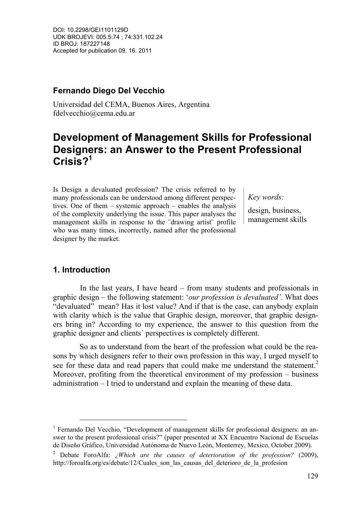## **Fernando Diego Del Vecchio**

Universidad del CEMA, Buenos Aires, Argentina fdelvecchio@cema.edu.ar

# **Development of Management Skills for Professional Designers: an Answer to the Present Professional Crisis?1**

Is Design a devaluated profession? The crisis referred to by many professionals can be understood among different perspectives. One of them – systemic approach – enables the analysis of the complexity underlying the issue. This paper analyses the management skills in response to the ¨drawing artist¨ profile who was many times, incorrectly, named after the professional designer by the market.

*Key words:*

design, business, management skills

## **1. Introduction**

 In the last years, I have heard – from many students and professionals in graphic design – the following statement: '*our profession is devaluated'*. What does "devaluated" mean? Has it lost value? And if that is the case, can anybody explain with clarity which is the value that Graphic design, moreover, that graphic designers bring in? According to my experience, the answer to this question from the graphic designer and clients´ perspectives is completely different.

So as to understand from the heart of the profession what could be the reasons by which designers refer to their own profession in this way, I urged myself to see for these data and read papers that could make me understand the statement.<sup>2</sup> Moreover, profiting from the theoretical environment of my profession – business administration – I tried to understand and explain the meaning of these data.

<sup>1&</sup>lt;br><sup>1</sup> Fernando Del Vecchio, "Development of management skills for professional designers: an answer to the present professional crisis?" (paper presented at XX Encuentro Nacional de Escuelas de Diseño Gráfico, Universidad Autónoma de Nuevo León, Monterrey, Mexico, October 2009).

<sup>2</sup> Debate ForoAlfa: *¿Which are the causes of deterioration of the profession?* (2009), http://foroalfa.org/es/debate/12/Cuales\_son\_las\_causas\_del\_deterioro\_de\_la\_profesion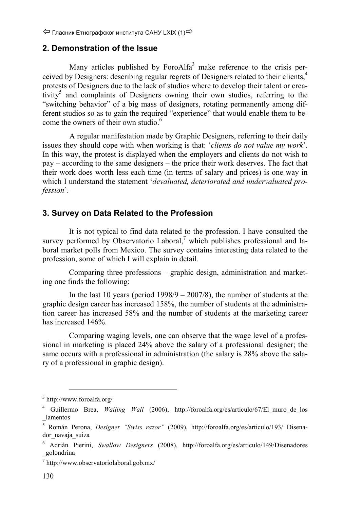#### **2. Demonstration of the Issue**

Many articles published by Foro $A$ lfa<sup>3</sup> make reference to the crisis perceived by Designers: describing regular regrets of Designers related to their clients,<sup>4</sup> protests of Designers due to the lack of studios where to develop their talent or creativity<sup>5</sup> and complaints of Designers owning their own studios, referring to the "switching behavior" of a big mass of designers, rotating permanently among different studios so as to gain the required "experience" that would enable them to become the owners of their own studio.<sup>6</sup>

 A regular manifestation made by Graphic Designers, referring to their daily issues they should cope with when working is that: '*clients do not value my work*'. In this way, the protest is displayed when the employers and clients do not wish to pay – according to the same designers – the price their work deserves. The fact that their work does worth less each time (in terms of salary and prices) is one way in which I understand the statement '*devaluated, deteriorated and undervaluated profession*'.

#### **3. Survey on Data Related to the Profession**

It is not typical to find data related to the profession. I have consulted the survey performed by Observatorio Laboral, $^7$  which publishes professional and laboral market polls from Mexico. The survey contains interesting data related to the profession, some of which I will explain in detail.

Comparing three professions – graphic design, administration and marketing one finds the following:

In the last 10 years (period  $1998/9 - 2007/8$ ), the number of students at the graphic design career has increased 158%, the number of students at the administration career has increased 58% and the number of students at the marketing career has increased 146%.

Comparing waging levels, one can observe that the wage level of a professional in marketing is placed 24% above the salary of a professional designer; the same occurs with a professional in administration (the salary is 28% above the salary of a professional in graphic design).

 <sup>3</sup> http://www.foroalfa.org/

<sup>&</sup>lt;sup>4</sup> Guillermo Brea, *Wailing Wall* (2006), http://foroalfa.org/es/articulo/67/El muro de los \_lamentos

<sup>5</sup> Román Perona, *Designer "Swiss razor"* (2009), http://foroalfa.org/es/articulo/193/ Disenador\_navaja\_suiza

<sup>6</sup> Adrián Pierini, *Swallow Designers* (2008), http://foroalfa.org/es/articulo/149/Disenadores \_golondrina

<sup>7</sup> http://www.observatoriolaboral.gob.mx/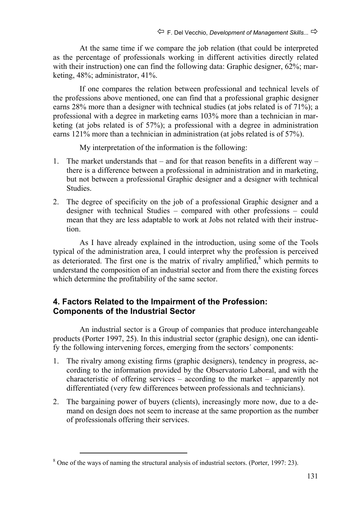At the same time if we compare the job relation (that could be interpreted as the percentage of professionals working in different activities directly related with their instruction) one can find the following data: Graphic designer, 62%; marketing, 48%; administrator, 41%.

If one compares the relation between professional and technical levels of the professions above mentioned, one can find that a professional graphic designer earns 28% more than a designer with technical studies (at jobs related is of 71%); a professional with a degree in marketing earns 103% more than a technician in marketing (at jobs related is of 57%); a professional with a degree in administration earns 121% more than a technician in administration (at jobs related is of 57%).

My interpretation of the information is the following:

- 1. The market understands that and for that reason benefits in a different way there is a difference between a professional in administration and in marketing, but not between a professional Graphic designer and a designer with technical Studies.
- 2. The degree of specificity on the job of a professional Graphic designer and a designer with technical Studies – compared with other professions – could mean that they are less adaptable to work at Jobs not related with their instruction.

As I have already explained in the introduction, using some of the Tools typical of the administration area, I could interpret why the profession is perceived as deteriorated. The first one is the matrix of rivalry amplified, $\delta$  which permits to understand the composition of an industrial sector and from there the existing forces which determine the profitability of the same sector.

### **4. Factors Related to the Impairment of the Profession: Components of the Industrial Sector**

An industrial sector is a Group of companies that produce interchangeable products (Porter 1997, 25). In this industrial sector (graphic design), one can identify the following intervening forces, emerging from the sectors´ components:

- 1. The rivalry among existing firms (graphic designers), tendency in progress, according to the information provided by the Observatorio Laboral, and with the characteristic of offering services – according to the market – apparently not differentiated (very few differences between professionals and technicians).
- 2. The bargaining power of buyers (clients), increasingly more now, due to a demand on design does not seem to increase at the same proportion as the number of professionals offering their services.

<sup>&</sup>lt;sup>8</sup> One of the ways of naming the structural analysis of industrial sectors. (Porter, 1997: 23).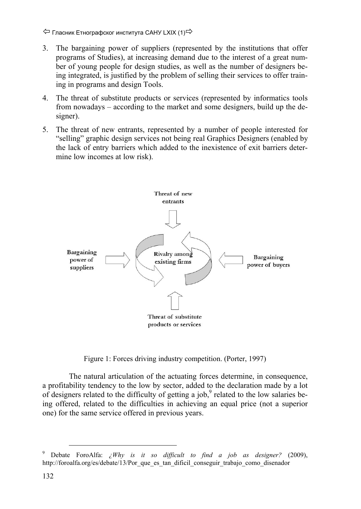Гласник Етнографског института САНУ LXIX (1)

- 3. The bargaining power of suppliers (represented by the institutions that offer programs of Studies), at increasing demand due to the interest of a great number of young people for design studies, as well as the number of designers being integrated, is justified by the problem of selling their services to offer training in programs and design Tools.
- 4. The threat of substitute products or services (represented by informatics tools from nowadays – according to the market and some designers, build up the designer).
- 5. The threat of new entrants, represented by a number of people interested for "selling" graphic design services not being real Graphics Designers (enabled by the lack of entry barriers which added to the inexistence of exit barriers determine low incomes at low risk).



Figure 1: Forces driving industry competition. (Porter, 1997)

The natural articulation of the actuating forces determine, in consequence, a profitability tendency to the low by sector, added to the declaration made by a lot of designers related to the difficulty of getting a job, $9$  related to the low salaries being offered, related to the difficulties in achieving an equal price (not a superior one) for the same service offered in previous years.

 <sup>9</sup> Debate ForoAlfa: *¿Why is it so difficult to find a job as designer?* (2009), http://foroalfa.org/es/debate/13/Por\_que\_es\_tan\_dificil\_conseguir\_trabajo\_como\_disenador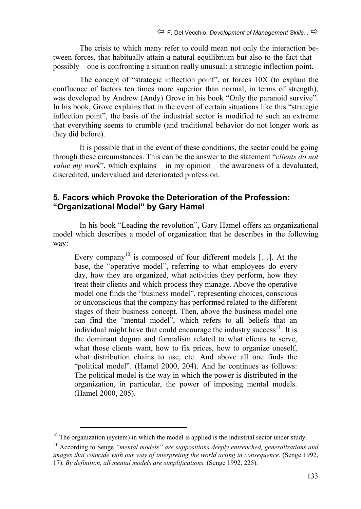The crisis to which many refer to could mean not only the interaction between forces, that habitually attain a natural equilibrium but also to the fact that – possibly – one is confronting a situation really unusual: a strategic inflection point.

The concept of "strategic inflection point", or forces 10X (to explain the confluence of factors ten times more superior than normal, in terms of strength), was developed by Andrew (Andy) Grove in his book "Only the paranoid survive". In his book, Grove explains that in the event of certain situations like this "strategic inflection point", the basis of the industrial sector is modified to such an extreme that everything seems to crumble (and traditional behavior do not longer work as they did before).

It is possible that in the event of these conditions, the sector could be going through these circumstances. This can be the answer to the statement "*clients do not value my work*", which explains – in my opinion – the awareness of a devaluated, discredited, undervalued and deteriorated profession.

#### **5. Facors which Provoke the Deterioration of the Profession: "Organizational Model" by Gary Hamel**

In his book "Leading the revolution", Gary Hamel offers an organizational model which describes a model of organization that he describes in the following way:

Every company<sup>10</sup> is composed of four different models [...]. At the base, the "operative model", referring to what employees do every day, how they are organized, what activities they perform, how they treat their clients and which process they manage. Above the operative model one finds the "business model", representing choices, conscious or unconscious that the company has performed related to the different stages of their business concept. Then, above the business model one can find the "mental model", which refers to all beliefs that an individual might have that could encourage the industry success  $11$ . It is the dominant dogma and formalism related to what clients to serve, what those clients want, how to fix prices, how to organize oneself, what distribution chains to use, etc. And above all one finds the "political model". (Hamel 2000, 204). And he continues as follows: The political model is the way in which the power is distributed in the organization, in particular, the power of imposing mental models. (Hamel 2000, 205).

 $10$  The organization (system) in which the model is applied is the industrial sector under study.

<sup>11</sup> According to Senge *"mental models" are suppositions deeply entrenched, generalizations and images that coincide with our way of interpreting the world acting in consequence.* (Senge 1992, 17). *By definition, all mental models are simplifications.* (Senge 1992, 225).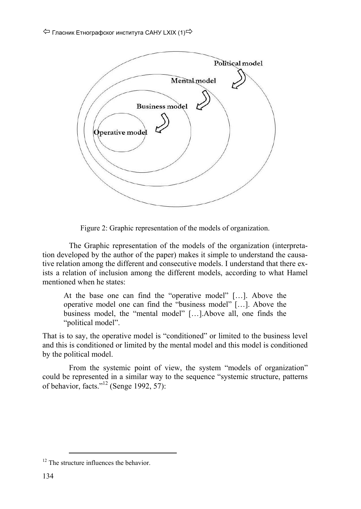

Figure 2: Graphic representation of the models of organization.

The Graphic representation of the models of the organization (interpretation developed by the author of the paper) makes it simple to understand the causative relation among the different and consecutive models. I understand that there exists a relation of inclusion among the different models, according to what Hamel mentioned when he states:

At the base one can find the "operative model" […]. Above the operative model one can find the "business model" […]. Above the business model, the "mental model" […].Above all, one finds the "political model".

That is to say, the operative model is "conditioned" or limited to the business level and this is conditioned or limited by the mental model and this model is conditioned by the political model.

From the systemic point of view, the system "models of organization" could be represented in a similar way to the sequence "systemic structure, patterns of behavior, facts."<sup>12</sup> (Senge 1992, 57):

<sup>&</sup>lt;sup>12</sup> The structure influences the behavior.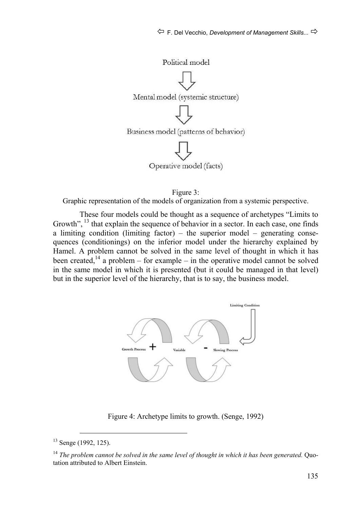

Figure 3:

Graphic representation of the models of organization from a systemic perspective.

These four models could be thought as a sequence of archetypes "Limits to Growth", <sup>13</sup> that explain the sequence of behavior in a sector. In each case, one finds a limiting condition (limiting factor) – the superior model – generating consequences (conditionings) on the inferior model under the hierarchy explained by Hamel. A problem cannot be solved in the same level of thought in which it has been created,<sup>14</sup> a problem – for example – in the operative model cannot be solved in the same model in which it is presented (but it could be managed in that level) but in the superior level of the hierarchy, that is to say, the business model.



Figure 4: Archetype limits to growth. (Senge, 1992)

 <sup>13</sup> Senge (1992, 125).

<sup>14</sup> *The problem cannot be solved in the same level of thought in which it has been generated.* Quotation attributed to Albert Einstein.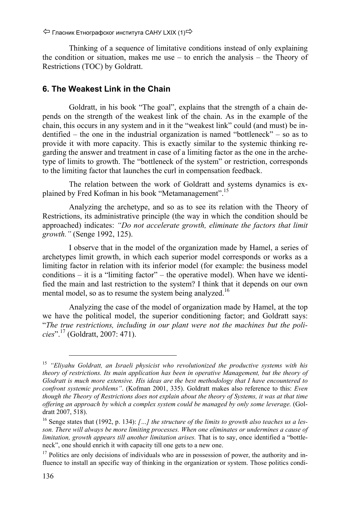$\Leftrightarrow$  Гласник Етнографског института САНУ LXIX (1) $\Leftrightarrow$ 

Thinking of a sequence of limitative conditions instead of only explaining the condition or situation, makes me use  $-$  to enrich the analysis  $-$  the Theory of Restrictions (TOC) by Goldratt.

#### **6. The Weakest Link in the Chain**

Goldratt, in his book "The goal", explains that the strength of a chain depends on the strength of the weakest link of the chain. As in the example of the chain, this occurs in any system and in it the "weakest link" could (and must) be indentified – the one in the industrial organization is named "bottleneck" – so as to provide it with more capacity. This is exactly similar to the systemic thinking regarding the answer and treatment in case of a limiting factor as the one in the archetype of limits to growth. The "bottleneck of the system" or restriction, corresponds to the limiting factor that launches the curl in compensation feedback.

The relation between the work of Goldratt and systems dynamics is explained by Fred Kofman in his book "Metamanagement".15

Analyzing the archetype, and so as to see its relation with the Theory of Restrictions, its administrative principle (the way in which the condition should be approached) indicates: *"Do not accelerate growth, eliminate the factors that limit growth."* (Senge 1992, 125).

I observe that in the model of the organization made by Hamel, a series of archetypes limit growth, in which each superior model corresponds or works as a limiting factor in relation with its inferior model (for example: the business model conditions – it is a "limiting factor" – the operative model). When have we identified the main and last restriction to the system? I think that it depends on our own mental model, so as to resume the system being analyzed.<sup>16</sup>

Analyzing the case of the model of organization made by Hamel, at the top we have the political model, the superior conditioning factor; and Goldratt says: "*The true restrictions, including in our plant were not the machines but the policies*".17 (Goldratt, 2007: 471).

 <sup>15</sup> *"Eliyahu Goldratt, an Israeli physicist who revolutionized the productive systems with his theory of restrictions. Its main application has been in operative Management, but the theory of Glodratt is much more extensive. His ideas are the best methodology that I have encountered to confront systemic problems"*. (Kofman 2001, 335). Goldratt makes also reference to this: *Even though the Theory of Restrictions does not explain about the theory of Systems, it was at that time offering an approach by which a complex system could be managed by only some leverage.* (Goldratt 2007, 518).

<sup>16</sup> Senge states that (1992, p. 134): *[…] the structure of the limits to growth also teaches us a lesson. There will always be more limiting processes. When one eliminates or undermines a cause of limitation, growth appears till another limitation arises.* That is to say, once identified a "bottleneck", one should enrich it with capacity till one gets to a new one.

<sup>&</sup>lt;sup>17</sup> Politics are only decisions of individuals who are in possession of power, the authority and influence to install an specific way of thinking in the organization or system. Those politics condi-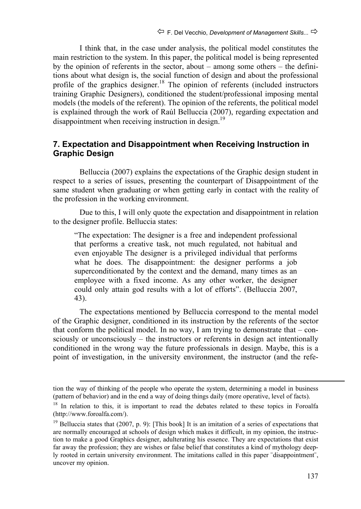I think that, in the case under analysis, the political model constitutes the main restriction to the system. In this paper, the political model is being represented by the opinion of referents in the sector, about – among some others – the definitions about what design is, the social function of design and about the professional profile of the graphics designer.<sup>18</sup> The opinion of referents (included instructors training Graphic Designers), conditioned the student/professional imposing mental models (the models of the referent). The opinion of the referents, the political model is explained through the work of Raúl Belluccia (2007), regarding expectation and disappointment when receiving instruction in design.<sup>19</sup>

#### **7. Expectation and Disappointment when Receiving Instruction in Graphic Design**

Belluccia (2007) explains the expectations of the Graphic design student in respect to a series of issues, presenting the counterpart of Disappointment of the same student when graduating or when getting early in contact with the reality of the profession in the working environment.

Due to this, I will only quote the expectation and disappointment in relation to the designer profile. Belluccia states:

"The expectation: The designer is a free and independent professional that performs a creative task, not much regulated, not habitual and even enjoyable The designer is a privileged individual that performs what he does. The disappointment: the designer performs a job superconditionated by the context and the demand, many times as an employee with a fixed income. As any other worker, the designer could only attain god results with a lot of efforts". (Belluccia 2007, 43).

The expectations mentioned by Belluccia correspond to the mental model of the Graphic designer, conditioned in its instruction by the referents of the sector that conform the political model. In no way, I am trying to demonstrate that  $-$  consciously or unconsciously – the instructors or referents in design act intentionally conditioned in the wrong way the future professionals in design. Maybe, this is a point of investigation, in the university environment, the instructor (and the refe-

tion the way of thinking of the people who operate the system, determining a model in business (pattern of behavior) and in the end a way of doing things daily (more operative, level of facts).

<sup>&</sup>lt;sup>18</sup> In relation to this, it is important to read the debates related to these topics in Foroalfa (http://www.foroalfa.com/).

<sup>&</sup>lt;sup>19</sup> Belluccia states that (2007, p. 9): [This book] It is an imitation of a series of expectations that are normally encouraged at schools of design which makes it difficult, in my opinion, the instruction to make a good Graphics designer, adulterating his essence. They are expectations that exist far away the profession; they are wishes or false belief that constitutes a kind of mythology deeply rooted in certain university environment. The imitations called in this paper ¨disappointment¨, uncover my opinion.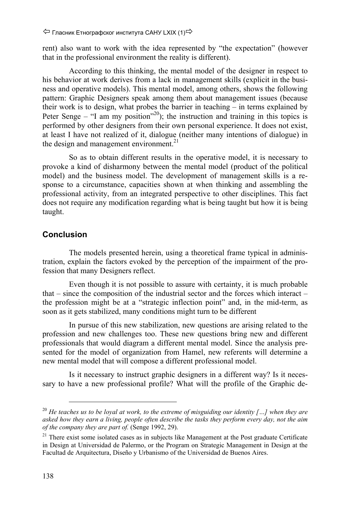Гласник Етнографског института САНУ LXIX (1)

rent) also want to work with the idea represented by "the expectation" (however that in the professional environment the reality is different).

According to this thinking, the mental model of the designer in respect to his behavior at work derives from a lack in management skills (explicit in the business and operative models). This mental model, among others, shows the following pattern: Graphic Designers speak among them about management issues (because their work is to design, what probes the barrier in teaching – in terms explained by Peter Senge – "I am my position"<sup>20</sup>); the instruction and training in this topics is performed by other designers from their own personal experience. It does not exist, at least I have not realized of it, dialogue (neither many intentions of dialogue) in the design and management environment.<sup>21</sup>

So as to obtain different results in the operative model, it is necessary to provoke a kind of disharmony between the mental model (product of the political model) and the business model. The development of management skills is a response to a circumstance, capacities shown at when thinking and assembling the professional activity, from an integrated perspective to other disciplines. This fact does not require any modification regarding what is being taught but how it is being taught.

#### **Conclusion**

The models presented herein, using a theoretical frame typical in administration, explain the factors evoked by the perception of the impairment of the profession that many Designers reflect.

Even though it is not possible to assure with certainty, it is much probable that – since the composition of the industrial sector and the forces which interact – the profession might be at a "strategic inflection point" and, in the mid-term, as soon as it gets stabilized, many conditions might turn to be different

In pursue of this new stabilization, new questions are arising related to the profession and new challenges too. These new questions bring new and different professionals that would diagram a different mental model. Since the analysis presented for the model of organization from Hamel, new referents will determine a new mental model that will compose a different professional model.

Is it necessary to instruct graphic designers in a different way? Is it necessary to have a new professional profile? What will the profile of the Graphic de-

 <sup>20</sup> *He teaches us to be loyal at work, to the extreme of misguiding our identity […] when they are asked how they earn a living, people often describe the tasks they perform every day, not the aim of the company they are part of.* (Senge 1992, 29).

 $21$  There exist some isolated cases as in subjects like Management at the Post graduate Certificate in Design at Universidad de Palermo, or the Program on Strategic Management in Design at the Facultad de Arquitectura, Diseño y Urbanismo of the Universidad de Buenos Aires.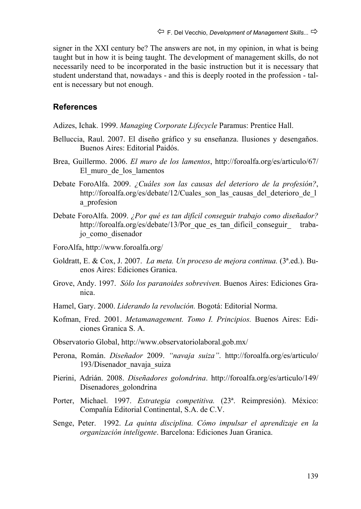signer in the XXI century be? The answers are not, in my opinion, in what is being taught but in how it is being taught. The development of management skills, do not necessarily need to be incorporated in the basic instruction but it is necessary that student understand that, nowadays - and this is deeply rooted in the profession - talent is necessary but not enough.

#### **References**

Adizes, Ichak. 1999. *Managing Corporate Lifecycle* Paramus: Prentice Hall.

- Belluccia, Raul. 2007. El diseño gráfico y su enseñanza. Ilusiones y desengaños. Buenos Aires: Editorial Paidós.
- Brea, Guillermo. 2006. *El muro de los lamentos*, http://foroalfa.org/es/articulo/67/ El\_muro\_de\_los\_lamentos
- Debate ForoAlfa. 2009. *¿Cuáles son las causas del deterioro de la profesión?*, http://foroalfa.org/es/debate/12/Cuales\_son\_las\_causas\_del\_deterioro\_de\_l a\_profesion
- Debate ForoAlfa. 2009. *¿Por qué es tan difícil conseguir trabajo como diseñador?* http://foroalfa.org/es/debate/13/Por que es tan dificil conseguir trabajo\_como\_disenador
- ForoAlfa, http://www.foroalfa.org/
- Goldratt, E. & Cox, J. 2007. *La meta. Un proceso de mejora continua.* (3ª.ed.). Buenos Aires: Ediciones Granica.
- Grove, Andy. 1997. *Sólo los paranoides sobreviven.* Buenos Aires: Ediciones Granica.
- Hamel, Gary. 2000. *Liderando la revolución.* Bogotá: Editorial Norma.
- Kofman, Fred. 2001. *Metamanagement. Tomo I. Principios.* Buenos Aires: Ediciones Granica S. A.
- Observatorio Global, http://www.observatoriolaboral.gob.mx/
- Perona, Román. *Diseñador* 2009. *"navaja suiza"*. http://foroalfa.org/es/articulo/ 193/Disenador\_navaja\_suiza
- Pierini, Adrián. 2008. *Diseñadores golondrina*. http://foroalfa.org/es/articulo/149/ Disenadores\_golondrina
- Porter, Michael. 1997. *Estrategia competitiva.* (23ª. Reimpresión). México: Compañía Editorial Continental, S.A. de C.V.
- Senge, Peter. 1992. *La quinta disciplina. Cómo impulsar el aprendizaje en la organización inteligente*. Barcelona: Ediciones Juan Granica.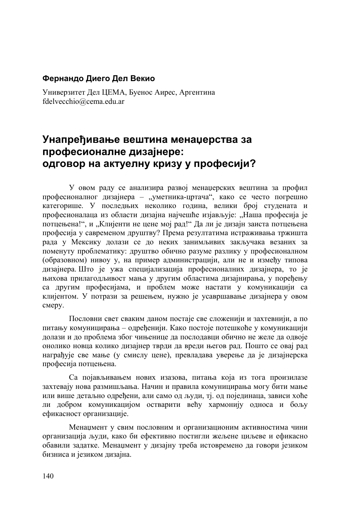#### **Фернандо Диего Дел Векио**

Универзитет Дел ЦЕМА, Буенос Аирес, Аргентина fdelvecchio@cema.edu.ar

# **Унапређивање вештина менаџерства за професионалне дизајнере: одговор на актуелну кризу у професији?**

У овом раду се анализира развој менаџерских вештина за профил професионалног дизајнера – "уметника-цртача", како се често погрешно категорише. У последњих неколико година, велики број студената и професионалаца из области дизајна најчешће изјављује: "Наша професија је потцењена!", и "Клијенти не цене мој рад!" Да ли је дизајн заиста потцењена професија у савременом друштву? Према резултатима истраживања тржишта рада у Мексику долази се до неких занимљивих закључака везаних за поменуту проблематику: друштво обично разуме разлику у професионалном (образовном) нивоу у, на пример администрацији, али не и између типова дизајнера. Што је ужа специјализација професионалних дизајнера, то је њихова прилагодљивост мања у другим областима дизајнирања, у поређењу са другим професијама, и проблем може настати у комуникацији са клијентом. У потрази за решењем, нужно је усавршавање дизајнера у овом смеру.

Пословни свет сваким даном постаје све сложенији и захтевнији, а по питању комуницирања – одређенији. Како постоје потешкоће у комуникацији долази и до проблема због чињенице да послодавци обично не желе да одвоје онолико новца колико дизајнер тврди да вреди његов рад. Пошто се овај рад награђује све мање (у смислу цене), превладава уверење да је дизајнерска професија потцењена.

Са појављивањем нових изазова, питања која из тога произилазе захтевају нова размишљања. Начин и правила комуницирања могу бити мање или више детаљно одређени, али само од људи, тј. од појединаца, зависи хоће ли добром комуникацијом остварити већу хармонију односа и бољу ефикасност организације.

Менаџмент у свим пословним и организационим активностима чини организација људи, како би ефективно постигли жељене циљеве и ефикасно обавили задатке. Менаџмент у дизајну треба истовремено да говори језиком бизниса и језиком дизајна.